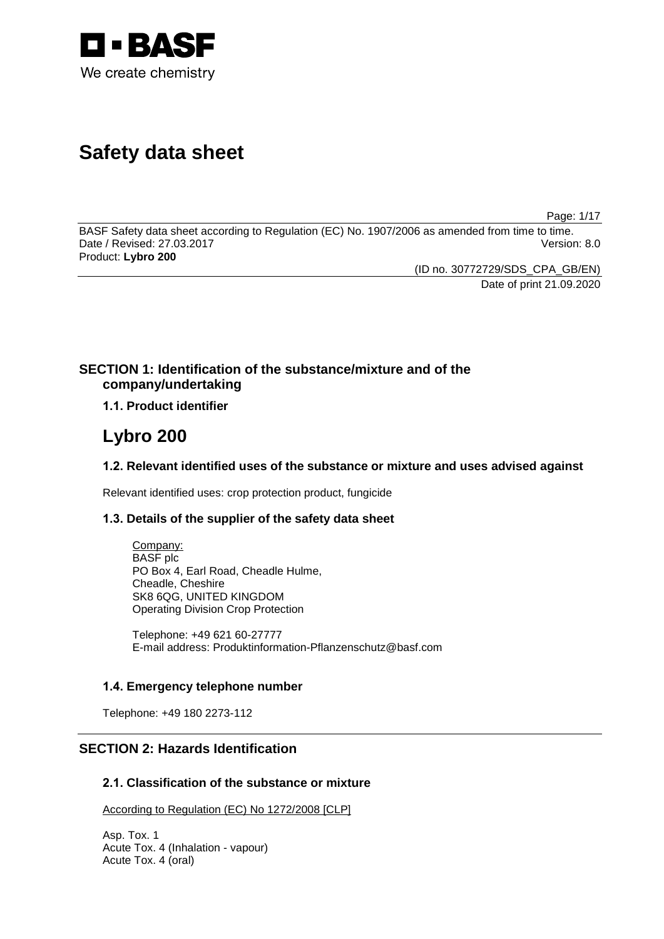

# **Safety data sheet**

Page: 1/17

BASF Safety data sheet according to Regulation (EC) No. 1907/2006 as amended from time to time. Date / Revised: 27.03.2017 Version: 8.0 Product: **Lybro 200**

(ID no. 30772729/SDS\_CPA\_GB/EN)

Date of print 21.09.2020

# **SECTION 1: Identification of the substance/mixture and of the company/undertaking**

**1.1. Product identifier**

# **Lybro 200**

# **1.2. Relevant identified uses of the substance or mixture and uses advised against**

Relevant identified uses: crop protection product, fungicide

# **1.3. Details of the supplier of the safety data sheet**

Company: BASF plc PO Box 4, Earl Road, Cheadle Hulme, Cheadle, Cheshire SK8 6QG, UNITED KINGDOM Operating Division Crop Protection

Telephone: +49 621 60-27777 E-mail address: Produktinformation-Pflanzenschutz@basf.com

# **1.4. Emergency telephone number**

Telephone: +49 180 2273-112

# **SECTION 2: Hazards Identification**

# **2.1. Classification of the substance or mixture**

According to Regulation (EC) No 1272/2008 [CLP]

Asp. Tox. 1 Acute Tox. 4 (Inhalation - vapour) Acute Tox. 4 (oral)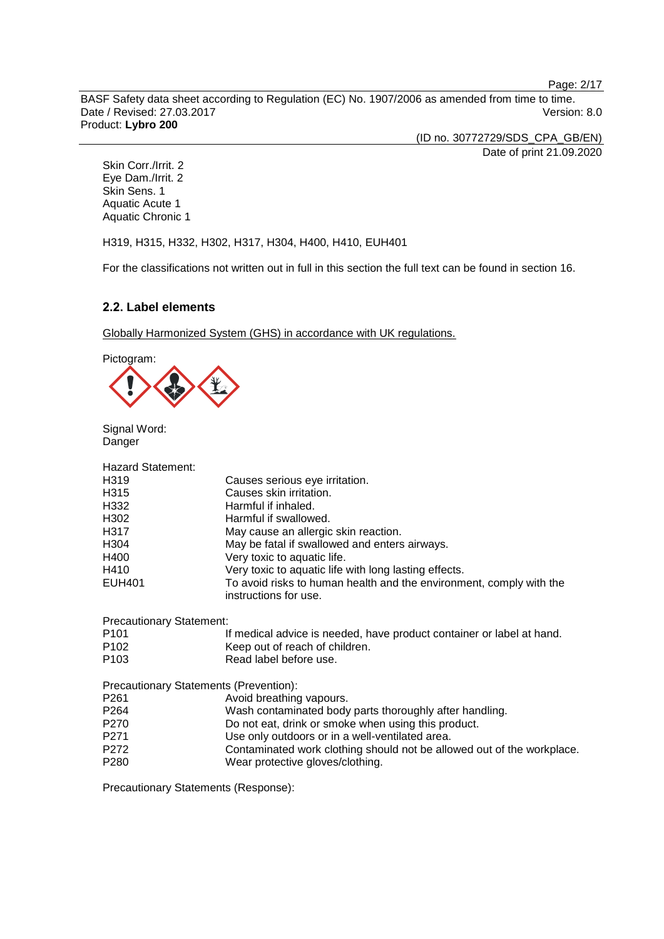Page: 2/17

BASF Safety data sheet according to Regulation (EC) No. 1907/2006 as amended from time to time. Date / Revised: 27.03.2017 Version: 8.0 Product: **Lybro 200**

(ID no. 30772729/SDS\_CPA\_GB/EN) Date of print 21.09.2020

Skin Corr./Irrit. 2 Eye Dam./Irrit. 2 Skin Sens. 1 Aquatic Acute 1 Aquatic Chronic 1

H319, H315, H332, H302, H317, H304, H400, H410, EUH401

For the classifications not written out in full in this section the full text can be found in section 16.

# **2.2. Label elements**

Globally Harmonized System (GHS) in accordance with UK regulations.

Pictogram:



Signal Word: Danger

| <b>Hazard Statement:</b>               |                                                                                              |
|----------------------------------------|----------------------------------------------------------------------------------------------|
| H319                                   | Causes serious eye irritation.                                                               |
| H315                                   | Causes skin irritation.                                                                      |
| H332                                   | Harmful if inhaled.                                                                          |
| H302                                   | Harmful if swallowed.                                                                        |
| H317                                   | May cause an allergic skin reaction.                                                         |
| H304                                   | May be fatal if swallowed and enters airways.                                                |
| H400                                   | Very toxic to aquatic life.                                                                  |
| H410                                   | Very toxic to aquatic life with long lasting effects.                                        |
| <b>EUH401</b>                          | To avoid risks to human health and the environment, comply with the<br>instructions for use. |
| <b>Precautionary Statement:</b>        |                                                                                              |
| P <sub>101</sub>                       | If medical advice is needed, have product container or label at hand.                        |
| P <sub>102</sub>                       | Keep out of reach of children.                                                               |
| P <sub>103</sub>                       | Read label before use.                                                                       |
| Precautionary Statements (Prevention): |                                                                                              |
| P <sub>261</sub>                       | Avoid breathing vapours.                                                                     |
| P264                                   | Wash contaminated body parts thoroughly after handling.                                      |
| P270                                   | Do not eat, drink or smoke when using this product.                                          |
| P271                                   | Use only outdoors or in a well-ventilated area.                                              |
| P272                                   | Contaminated work clothing should not be allowed out of the workplace.                       |
| P <sub>280</sub>                       | Wear protective gloves/clothing.                                                             |
|                                        |                                                                                              |

Precautionary Statements (Response):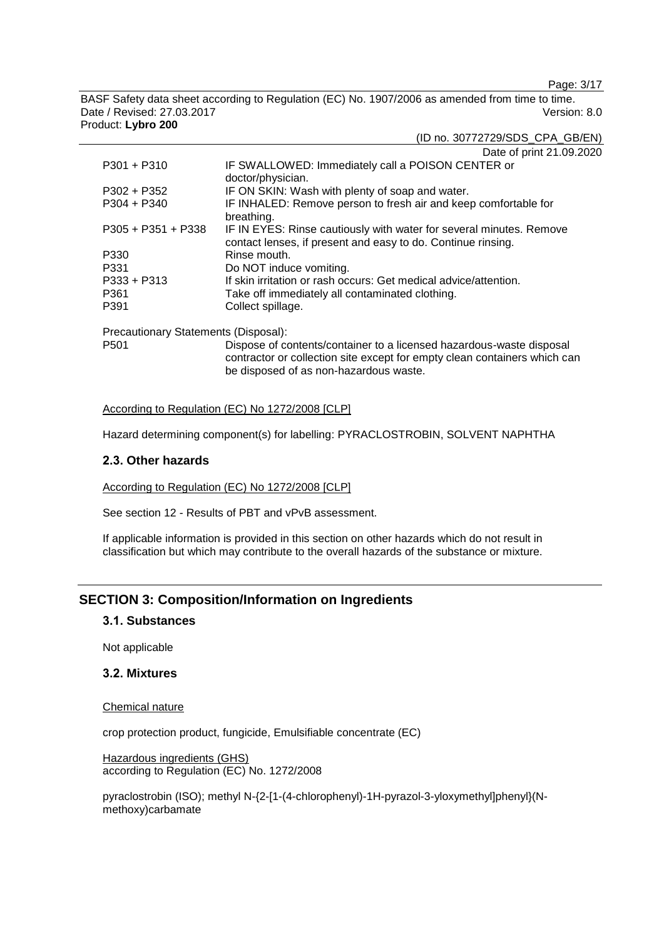Page: 3/17

BASF Safety data sheet according to Regulation (EC) No. 1907/2006 as amended from time to time. Date / Revised: 27.03.2017 Version: 8.0 Product: **Lybro 200**

|                                      | Date of print 21.09.2020                                                                                                            |
|--------------------------------------|-------------------------------------------------------------------------------------------------------------------------------------|
| $P301 + P310$                        | IF SWALLOWED: Immediately call a POISON CENTER or<br>doctor/physician.                                                              |
| $P302 + P352$                        | IF ON SKIN: Wash with plenty of soap and water.                                                                                     |
| $P304 + P340$                        | IF INHALED: Remove person to fresh air and keep comfortable for<br>breathing.                                                       |
| $P305 + P351 + P338$                 | IF IN EYES: Rinse cautiously with water for several minutes. Remove<br>contact lenses, if present and easy to do. Continue rinsing. |
| P330                                 | Rinse mouth.                                                                                                                        |
| P331                                 | Do NOT induce vomiting.                                                                                                             |
| $P333 + P313$                        | If skin irritation or rash occurs: Get medical advice/attention.                                                                    |
| P361                                 | Take off immediately all contaminated clothing.                                                                                     |
| P391                                 | Collect spillage.                                                                                                                   |
| Drogoutionary Ctotomonto (Dianogol): |                                                                                                                                     |

Precautionary Statements (Disposal):

P501 Dispose of contents/container to a licensed hazardous-waste disposal contractor or collection site except for empty clean containers which can be disposed of as non-hazardous waste.

## According to Regulation (EC) No 1272/2008 [CLP]

Hazard determining component(s) for labelling: PYRACLOSTROBIN, SOLVENT NAPHTHA

#### **2.3. Other hazards**

According to Regulation (EC) No 1272/2008 [CLP]

See section 12 - Results of PBT and vPvB assessment.

If applicable information is provided in this section on other hazards which do not result in classification but which may contribute to the overall hazards of the substance or mixture.

# **SECTION 3: Composition/Information on Ingredients**

# **3.1. Substances**

Not applicable

## **3.2. Mixtures**

Chemical nature

crop protection product, fungicide, Emulsifiable concentrate (EC)

Hazardous ingredients (GHS) according to Regulation (EC) No. 1272/2008

pyraclostrobin (ISO); methyl N-{2-[1-(4-chlorophenyl)-1H-pyrazol-3-yloxymethyl]phenyl}(Nmethoxy)carbamate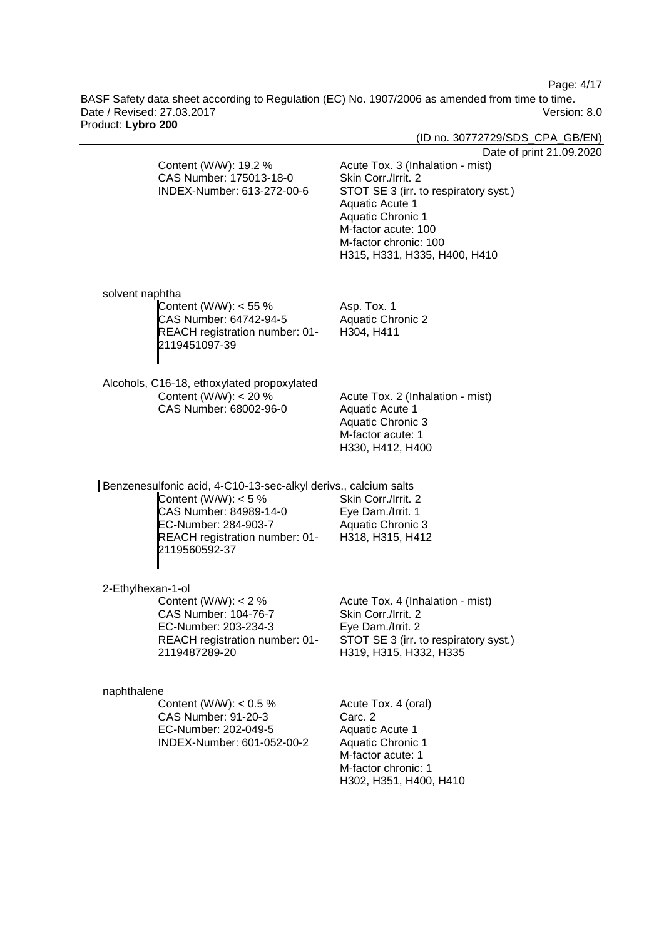Page: 4/17

BASF Safety data sheet according to Regulation (EC) No. 1907/2006 as amended from time to time. Date / Revised: 27.03.2017 Version: 8.0 Product: **Lybro 200**

| <b>Product.</b> Lybro 200                                                                                                                                                                      | (ID no. 30772729/SDS_CPA_GB/EN)                                                                                                                                                                                                                      |
|------------------------------------------------------------------------------------------------------------------------------------------------------------------------------------------------|------------------------------------------------------------------------------------------------------------------------------------------------------------------------------------------------------------------------------------------------------|
| Content (W/W): 19.2 %<br>CAS Number: 175013-18-0<br>INDEX-Number: 613-272-00-6                                                                                                                 | Date of print 21.09.2020<br>Acute Tox. 3 (Inhalation - mist)<br>Skin Corr./Irrit. 2<br>STOT SE 3 (irr. to respiratory syst.)<br>Aquatic Acute 1<br>Aquatic Chronic 1<br>M-factor acute: 100<br>M-factor chronic: 100<br>H315, H331, H335, H400, H410 |
| solvent naphtha<br>Content (W/W): $<$ 55 %<br>CAS Number: 64742-94-5<br>REACH registration number: 01-<br>2119451097-39                                                                        | Asp. Tox. 1<br><b>Aquatic Chronic 2</b><br>H304, H411                                                                                                                                                                                                |
| Alcohols, C16-18, ethoxylated propoxylated<br>Content (W/W): $<$ 20 %<br>CAS Number: 68002-96-0                                                                                                | Acute Tox. 2 (Inhalation - mist)<br>Aquatic Acute 1<br><b>Aquatic Chronic 3</b><br>M-factor acute: 1<br>H330, H412, H400                                                                                                                             |
| Benzenesulfonic acid, 4-C10-13-sec-alkyl derivs., calcium salts<br>Content (W/W): $<$ 5 %<br>CAS Number: 84989-14-0<br>EC-Number: 284-903-7<br>REACH registration number: 01-<br>2119560592-37 | Skin Corr./Irrit. 2<br>Eye Dam./Irrit. 1<br>Aquatic Chronic 3<br>H318, H315, H412                                                                                                                                                                    |
| 2-Ethylhexan-1-ol<br>Content (W/W): $< 2 %$<br>CAS Number: 104-76-7<br>EC-Number: 203-234-3<br>REACH registration number: 01-<br>2119487289-20                                                 | Acute Tox. 4 (Inhalation - mist)<br>Skin Corr./Irrit. 2<br>Eye Dam./Irrit. 2<br>STOT SE 3 (irr. to respiratory syst.)<br>H319, H315, H332, H335                                                                                                      |
| naphthalene<br>Content (W/W): $< 0.5 %$<br>CAS Number: 91-20-3<br>EC-Number: 202-049-5<br>INDEX-Number: 601-052-00-2                                                                           | Acute Tox. 4 (oral)<br>Carc. 2<br>Aquatic Acute 1<br><b>Aquatic Chronic 1</b><br>M-factor acute: 1<br>M-factor chronic: 1<br>H302, H351, H400, H410                                                                                                  |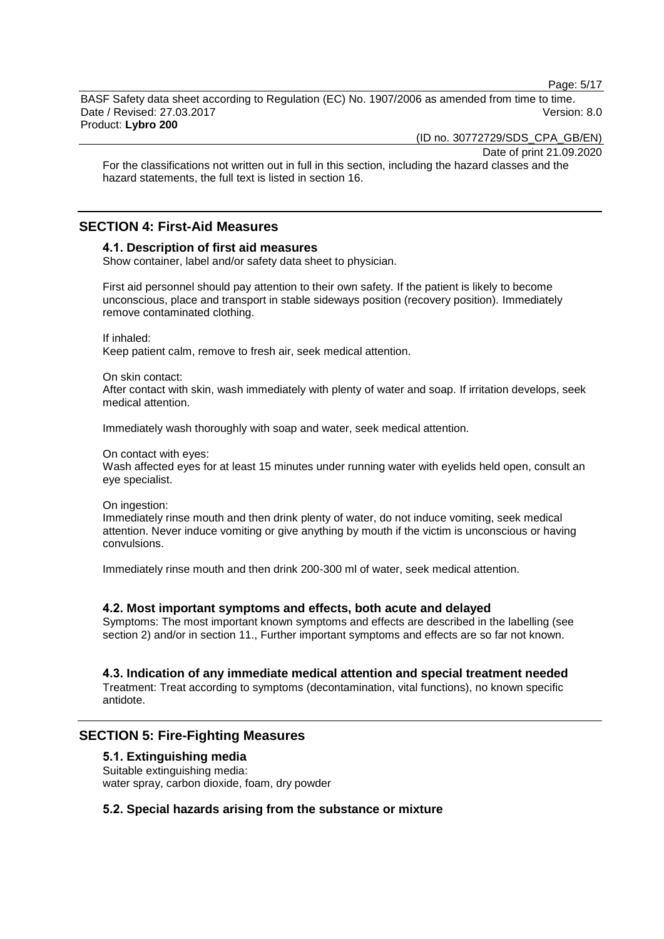Page: 5/17

BASF Safety data sheet according to Regulation (EC) No. 1907/2006 as amended from time to time. Date / Revised: 27.03.2017 Version: 8.0 Product: **Lybro 200**

(ID no. 30772729/SDS\_CPA\_GB/EN)

Date of print 21.09.2020

For the classifications not written out in full in this section, including the hazard classes and the hazard statements, the full text is listed in section 16.

# **SECTION 4: First-Aid Measures**

## **4.1. Description of first aid measures**

Show container, label and/or safety data sheet to physician.

First aid personnel should pay attention to their own safety. If the patient is likely to become unconscious, place and transport in stable sideways position (recovery position). Immediately remove contaminated clothing.

If inhaled:

Keep patient calm, remove to fresh air, seek medical attention.

On skin contact:

After contact with skin, wash immediately with plenty of water and soap. If irritation develops, seek medical attention.

Immediately wash thoroughly with soap and water, seek medical attention.

#### On contact with eyes:

Wash affected eyes for at least 15 minutes under running water with eyelids held open, consult an eye specialist.

On ingestion:

Immediately rinse mouth and then drink plenty of water, do not induce vomiting, seek medical attention. Never induce vomiting or give anything by mouth if the victim is unconscious or having convulsions.

Immediately rinse mouth and then drink 200-300 ml of water, seek medical attention.

#### **4.2. Most important symptoms and effects, both acute and delayed**

Symptoms: The most important known symptoms and effects are described in the labelling (see section 2) and/or in section 11., Further important symptoms and effects are so far not known.

# **4.3. Indication of any immediate medical attention and special treatment needed**

Treatment: Treat according to symptoms (decontamination, vital functions), no known specific antidote.

# **SECTION 5: Fire-Fighting Measures**

#### **5.1. Extinguishing media**

Suitable extinguishing media: water spray, carbon dioxide, foam, dry powder

# **5.2. Special hazards arising from the substance or mixture**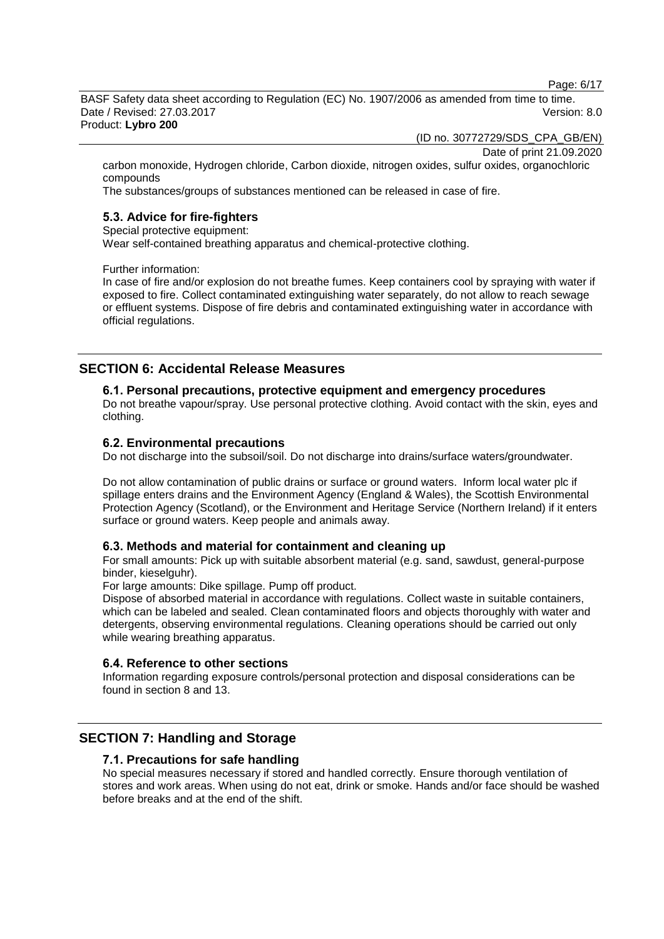Page: 6/17

BASF Safety data sheet according to Regulation (EC) No. 1907/2006 as amended from time to time. Date / Revised: 27.03.2017 Version: 8.0 Product: **Lybro 200**

(ID no. 30772729/SDS\_CPA\_GB/EN)

Date of print 21.09.2020

carbon monoxide, Hydrogen chloride, Carbon dioxide, nitrogen oxides, sulfur oxides, organochloric compounds

The substances/groups of substances mentioned can be released in case of fire.

# **5.3. Advice for fire-fighters**

Special protective equipment:

Wear self-contained breathing apparatus and chemical-protective clothing.

Further information:

In case of fire and/or explosion do not breathe fumes. Keep containers cool by spraying with water if exposed to fire. Collect contaminated extinguishing water separately, do not allow to reach sewage or effluent systems. Dispose of fire debris and contaminated extinguishing water in accordance with official regulations.

# **SECTION 6: Accidental Release Measures**

#### **6.1. Personal precautions, protective equipment and emergency procedures**

Do not breathe vapour/spray. Use personal protective clothing. Avoid contact with the skin, eyes and clothing.

#### **6.2. Environmental precautions**

Do not discharge into the subsoil/soil. Do not discharge into drains/surface waters/groundwater.

Do not allow contamination of public drains or surface or ground waters. Inform local water plc if spillage enters drains and the Environment Agency (England & Wales), the Scottish Environmental Protection Agency (Scotland), or the Environment and Heritage Service (Northern Ireland) if it enters surface or ground waters. Keep people and animals away.

#### **6.3. Methods and material for containment and cleaning up**

For small amounts: Pick up with suitable absorbent material (e.g. sand, sawdust, general-purpose binder, kieselguhr).

For large amounts: Dike spillage. Pump off product.

Dispose of absorbed material in accordance with regulations. Collect waste in suitable containers, which can be labeled and sealed. Clean contaminated floors and objects thoroughly with water and detergents, observing environmental regulations. Cleaning operations should be carried out only while wearing breathing apparatus.

#### **6.4. Reference to other sections**

Information regarding exposure controls/personal protection and disposal considerations can be found in section 8 and 13.

# **SECTION 7: Handling and Storage**

#### **7.1. Precautions for safe handling**

No special measures necessary if stored and handled correctly. Ensure thorough ventilation of stores and work areas. When using do not eat, drink or smoke. Hands and/or face should be washed before breaks and at the end of the shift.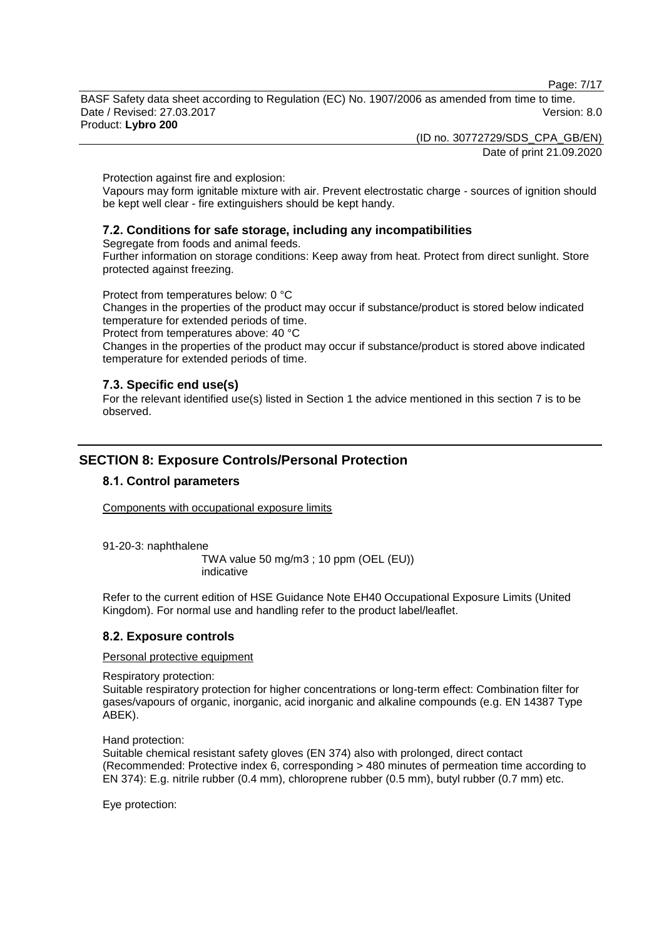Page: 7/17

BASF Safety data sheet according to Regulation (EC) No. 1907/2006 as amended from time to time. Date / Revised: 27.03.2017 Version: 8.0 Product: **Lybro 200**

(ID no. 30772729/SDS\_CPA\_GB/EN) Date of print 21.09.2020

Protection against fire and explosion:

Vapours may form ignitable mixture with air. Prevent electrostatic charge - sources of ignition should be kept well clear - fire extinguishers should be kept handy.

# **7.2. Conditions for safe storage, including any incompatibilities**

Segregate from foods and animal feeds.

Further information on storage conditions: Keep away from heat. Protect from direct sunlight. Store protected against freezing.

Protect from temperatures below: 0 °C

Changes in the properties of the product may occur if substance/product is stored below indicated temperature for extended periods of time.

Protect from temperatures above: 40 °C

Changes in the properties of the product may occur if substance/product is stored above indicated temperature for extended periods of time.

# **7.3. Specific end use(s)**

For the relevant identified use(s) listed in Section 1 the advice mentioned in this section 7 is to be observed.

# **SECTION 8: Exposure Controls/Personal Protection**

# **8.1. Control parameters**

Components with occupational exposure limits

91-20-3: naphthalene

TWA value 50 mg/m3 ; 10 ppm (OEL (EU)) indicative

Refer to the current edition of HSE Guidance Note EH40 Occupational Exposure Limits (United Kingdom). For normal use and handling refer to the product label/leaflet.

# **8.2. Exposure controls**

Personal protective equipment

Respiratory protection:

Suitable respiratory protection for higher concentrations or long-term effect: Combination filter for gases/vapours of organic, inorganic, acid inorganic and alkaline compounds (e.g. EN 14387 Type ABEK).

Hand protection:

Suitable chemical resistant safety gloves (EN 374) also with prolonged, direct contact (Recommended: Protective index 6, corresponding > 480 minutes of permeation time according to EN 374): E.g. nitrile rubber (0.4 mm), chloroprene rubber (0.5 mm), butyl rubber (0.7 mm) etc.

Eye protection: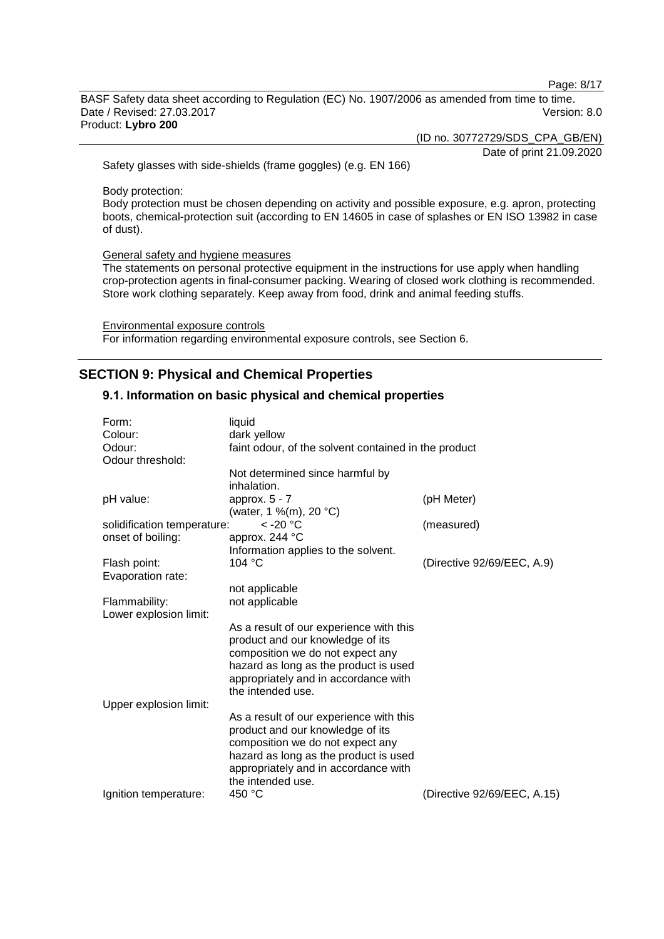Page: 8/17

BASF Safety data sheet according to Regulation (EC) No. 1907/2006 as amended from time to time. Date / Revised: 27.03.2017 Version: 8.0 Product: **Lybro 200**

(ID no. 30772729/SDS\_CPA\_GB/EN)

Date of print 21.09.2020

Safety glasses with side-shields (frame goggles) (e.g. EN 166)

Body protection:

Body protection must be chosen depending on activity and possible exposure, e.g. apron, protecting boots, chemical-protection suit (according to EN 14605 in case of splashes or EN ISO 13982 in case of dust).

General safety and hygiene measures

The statements on personal protective equipment in the instructions for use apply when handling crop-protection agents in final-consumer packing. Wearing of closed work clothing is recommended. Store work clothing separately. Keep away from food, drink and animal feeding stuffs.

Environmental exposure controls For information regarding environmental exposure controls, see Section 6.

# **SECTION 9: Physical and Chemical Properties**

# **9.1. Information on basic physical and chemical properties**

| Form:                       | liquid                                               |                             |
|-----------------------------|------------------------------------------------------|-----------------------------|
| Colour:                     | dark yellow                                          |                             |
| Odour:                      | faint odour, of the solvent contained in the product |                             |
| Odour threshold:            |                                                      |                             |
|                             | Not determined since harmful by                      |                             |
|                             | inhalation.                                          |                             |
| pH value:                   | approx. $5 - 7$                                      | (pH Meter)                  |
|                             | (water, 1 %(m), 20 °C)                               |                             |
| solidification temperature: | $<$ -20 $^{\circ}$ C                                 | (measured)                  |
| onset of boiling:           | approx. 244 °C                                       |                             |
|                             | Information applies to the solvent.                  |                             |
| Flash point:                | 104 °C                                               | (Directive 92/69/EEC, A.9)  |
| Evaporation rate:           |                                                      |                             |
|                             | not applicable                                       |                             |
| Flammability:               | not applicable                                       |                             |
| Lower explosion limit:      |                                                      |                             |
|                             | As a result of our experience with this              |                             |
|                             | product and our knowledge of its                     |                             |
|                             | composition we do not expect any                     |                             |
|                             | hazard as long as the product is used                |                             |
|                             | appropriately and in accordance with                 |                             |
|                             | the intended use.                                    |                             |
| Upper explosion limit:      |                                                      |                             |
|                             | As a result of our experience with this              |                             |
|                             | product and our knowledge of its                     |                             |
|                             | composition we do not expect any                     |                             |
|                             | hazard as long as the product is used                |                             |
|                             | appropriately and in accordance with                 |                             |
|                             |                                                      |                             |
|                             | the intended use.                                    |                             |
| Ignition temperature:       | 450 °C                                               | (Directive 92/69/EEC, A.15) |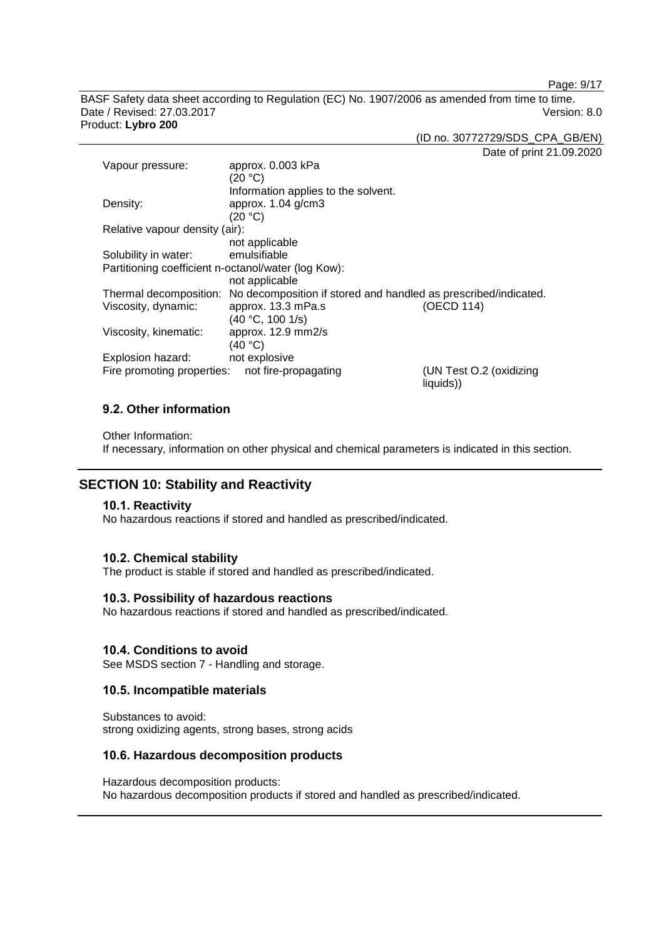Page: 9/17

BASF Safety data sheet according to Regulation (EC) No. 1907/2006 as amended from time to time. Date / Revised: 27.03.2017 Version: 8.0 Product: **Lybro 200**

(ID no. 30772729/SDS\_CPA\_GB/EN)

Date of print 21.09.2020

| Vapour pressure:                                    | approx. 0.003 kPa                                                                      |                                      |
|-----------------------------------------------------|----------------------------------------------------------------------------------------|--------------------------------------|
|                                                     | (20 °C)                                                                                |                                      |
|                                                     | Information applies to the solvent.                                                    |                                      |
| Density:                                            | approx. 1.04 g/cm3                                                                     |                                      |
|                                                     | (20 °C)                                                                                |                                      |
| Relative vapour density (air):                      |                                                                                        |                                      |
|                                                     | not applicable                                                                         |                                      |
| Solubility in water:                                | emulsifiable                                                                           |                                      |
| Partitioning coefficient n-octanol/water (log Kow): |                                                                                        |                                      |
|                                                     | not applicable                                                                         |                                      |
|                                                     | Thermal decomposition: No decomposition if stored and handled as prescribed/indicated. |                                      |
| Viscosity, dynamic:                                 | approx. 13.3 mPa.s                                                                     | (OECD 114)                           |
|                                                     | (40 °C, 100 1/s)                                                                       |                                      |
| Viscosity, kinematic:                               | approx. 12.9 mm2/s                                                                     |                                      |
|                                                     | (40 °C)                                                                                |                                      |
| Explosion hazard:                                   | not explosive                                                                          |                                      |
| Fire promoting properties:                          | not fire-propagating                                                                   | (UN Test O.2 (oxidizing<br>liquids)) |

# **9.2. Other information**

Other Information:

If necessary, information on other physical and chemical parameters is indicated in this section.

# **SECTION 10: Stability and Reactivity**

#### **10.1. Reactivity**

No hazardous reactions if stored and handled as prescribed/indicated.

#### **10.2. Chemical stability**

The product is stable if stored and handled as prescribed/indicated.

#### **10.3. Possibility of hazardous reactions**

No hazardous reactions if stored and handled as prescribed/indicated.

#### **10.4. Conditions to avoid**

See MSDS section 7 - Handling and storage.

## **10.5. Incompatible materials**

Substances to avoid: strong oxidizing agents, strong bases, strong acids

## **10.6. Hazardous decomposition products**

Hazardous decomposition products: No hazardous decomposition products if stored and handled as prescribed/indicated.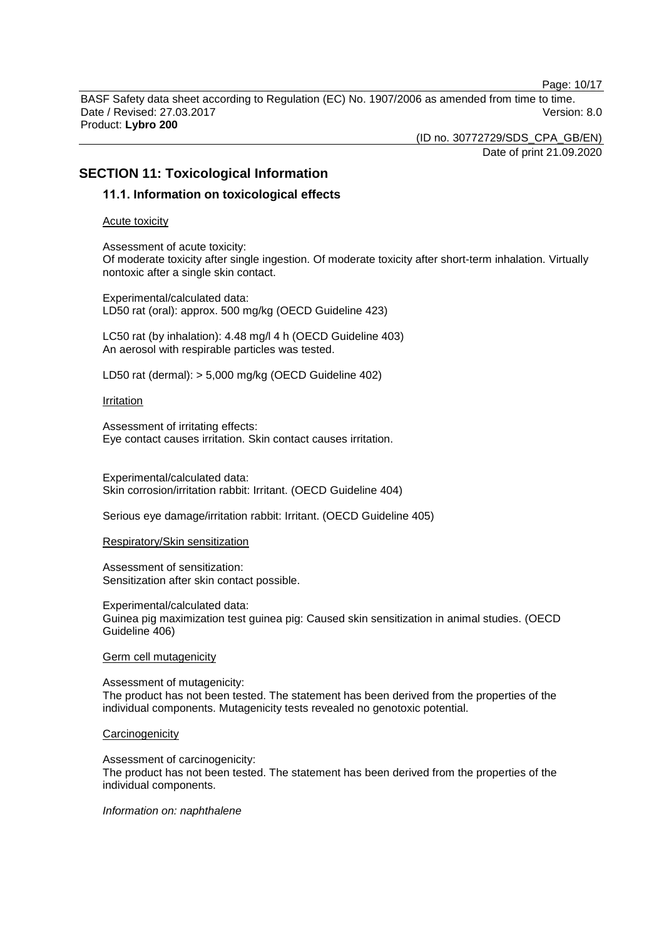Page: 10/17

BASF Safety data sheet according to Regulation (EC) No. 1907/2006 as amended from time to time. Date / Revised: 27.03.2017 Version: 8.0 Product: **Lybro 200**

(ID no. 30772729/SDS\_CPA\_GB/EN)

#### Date of print 21.09.2020

# **SECTION 11: Toxicological Information**

# **11.1. Information on toxicological effects**

Acute toxicity

Assessment of acute toxicity: Of moderate toxicity after single ingestion. Of moderate toxicity after short-term inhalation. Virtually nontoxic after a single skin contact.

Experimental/calculated data: LD50 rat (oral): approx. 500 mg/kg (OECD Guideline 423)

LC50 rat (by inhalation): 4.48 mg/l 4 h (OECD Guideline 403) An aerosol with respirable particles was tested.

LD50 rat (dermal): > 5,000 mg/kg (OECD Guideline 402)

#### Irritation

Assessment of irritating effects: Eye contact causes irritation. Skin contact causes irritation.

Experimental/calculated data: Skin corrosion/irritation rabbit: Irritant. (OECD Guideline 404)

Serious eye damage/irritation rabbit: Irritant. (OECD Guideline 405)

#### Respiratory/Skin sensitization

Assessment of sensitization: Sensitization after skin contact possible.

Experimental/calculated data: Guinea pig maximization test guinea pig: Caused skin sensitization in animal studies. (OECD Guideline 406)

#### Germ cell mutagenicity

Assessment of mutagenicity: The product has not been tested. The statement has been derived from the properties of the individual components. Mutagenicity tests revealed no genotoxic potential.

#### **Carcinogenicity**

Assessment of carcinogenicity: The product has not been tested. The statement has been derived from the properties of the individual components.

#### *Information on: naphthalene*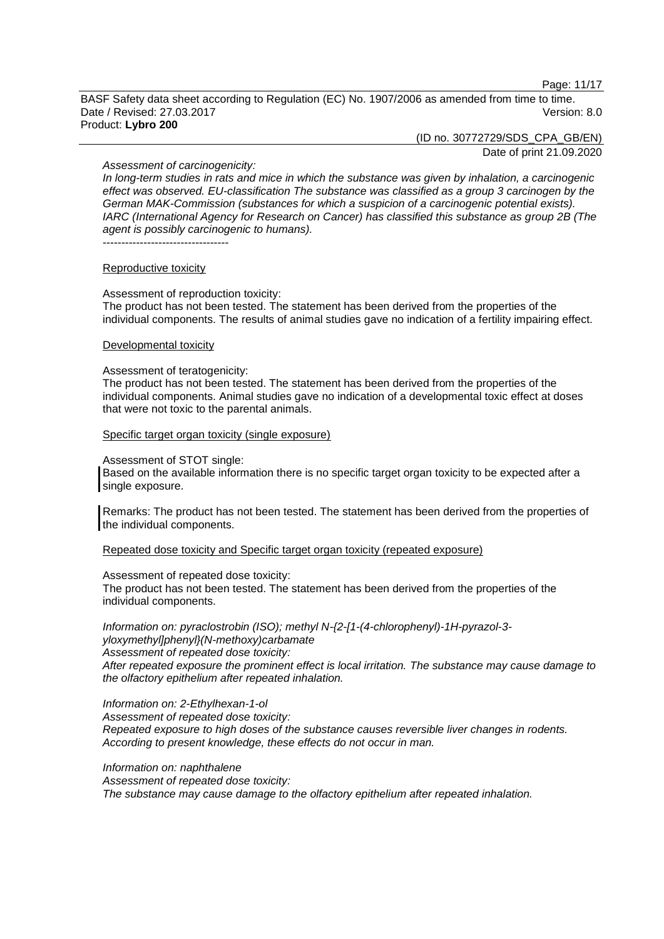Page: 11/17

BASF Safety data sheet according to Regulation (EC) No. 1907/2006 as amended from time to time. Date / Revised: 27.03.2017 Version: 8.0 Product: **Lybro 200**

(ID no. 30772729/SDS\_CPA\_GB/EN)

Date of print 21.09.2020

#### *Assessment of carcinogenicity:*

*In long-term studies in rats and mice in which the substance was given by inhalation, a carcinogenic effect was observed. EU-classification The substance was classified as a group 3 carcinogen by the German MAK-Commission (substances for which a suspicion of a carcinogenic potential exists). IARC (International Agency for Research on Cancer) has classified this substance as group 2B (The agent is possibly carcinogenic to humans).* ----------------------------------

#### Reproductive toxicity

Assessment of reproduction toxicity: The product has not been tested. The statement has been derived from the properties of the individual components. The results of animal studies gave no indication of a fertility impairing effect.

#### Developmental toxicity

#### Assessment of teratogenicity:

The product has not been tested. The statement has been derived from the properties of the individual components. Animal studies gave no indication of a developmental toxic effect at doses that were not toxic to the parental animals.

#### Specific target organ toxicity (single exposure)

#### Assessment of STOT single:

Based on the available information there is no specific target organ toxicity to be expected after a single exposure.

Remarks: The product has not been tested. The statement has been derived from the properties of the individual components.

Repeated dose toxicity and Specific target organ toxicity (repeated exposure)

#### Assessment of repeated dose toxicity:

The product has not been tested. The statement has been derived from the properties of the individual components.

*Information on: pyraclostrobin (ISO); methyl N-{2-[1-(4-chlorophenyl)-1H-pyrazol-3 yloxymethyl]phenyl}(N-methoxy)carbamate Assessment of repeated dose toxicity:*

*After repeated exposure the prominent effect is local irritation. The substance may cause damage to the olfactory epithelium after repeated inhalation.*

#### *Information on: 2-Ethylhexan-1-ol*

*Assessment of repeated dose toxicity: Repeated exposure to high doses of the substance causes reversible liver changes in rodents. According to present knowledge, these effects do not occur in man.*

*Information on: naphthalene*

*Assessment of repeated dose toxicity:*

*The substance may cause damage to the olfactory epithelium after repeated inhalation.*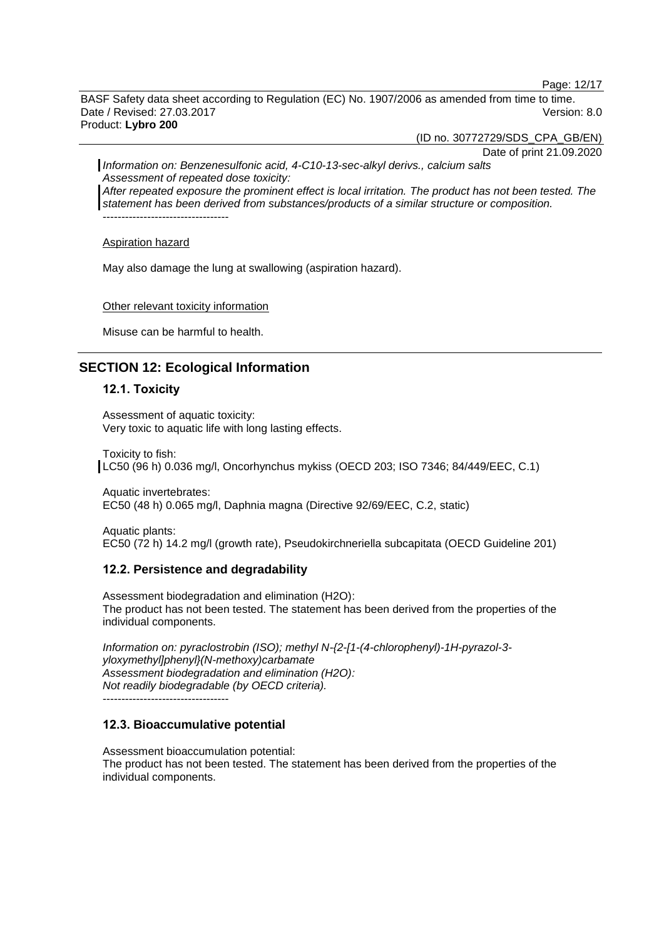Page: 12/17

BASF Safety data sheet according to Regulation (EC) No. 1907/2006 as amended from time to time. Date / Revised: 27.03.2017 Version: 8.0 Product: **Lybro 200**

(ID no. 30772729/SDS\_CPA\_GB/EN)

Date of print 21.09.2020 *Information on: Benzenesulfonic acid, 4-C10-13-sec-alkyl derivs., calcium salts Assessment of repeated dose toxicity: After repeated exposure the prominent effect is local irritation. The product has not been tested. The statement has been derived from substances/products of a similar structure or composition.*

----------------------------------

Aspiration hazard

May also damage the lung at swallowing (aspiration hazard).

#### Other relevant toxicity information

Misuse can be harmful to health.

# **SECTION 12: Ecological Information**

# **12.1. Toxicity**

Assessment of aquatic toxicity: Very toxic to aquatic life with long lasting effects.

Toxicity to fish:

LC50 (96 h) 0.036 mg/l, Oncorhynchus mykiss (OECD 203; ISO 7346; 84/449/EEC, C.1)

Aquatic invertebrates: EC50 (48 h) 0.065 mg/l, Daphnia magna (Directive 92/69/EEC, C.2, static)

Aquatic plants: EC50 (72 h) 14.2 mg/l (growth rate), Pseudokirchneriella subcapitata (OECD Guideline 201)

## **12.2. Persistence and degradability**

Assessment biodegradation and elimination (H2O): The product has not been tested. The statement has been derived from the properties of the individual components.

*Information on: pyraclostrobin (ISO); methyl N-{2-[1-(4-chlorophenyl)-1H-pyrazol-3 yloxymethyl]phenyl}(N-methoxy)carbamate Assessment biodegradation and elimination (H2O): Not readily biodegradable (by OECD criteria).*

----------------------------------

# **12.3. Bioaccumulative potential**

Assessment bioaccumulation potential: The product has not been tested. The statement has been derived from the properties of the individual components.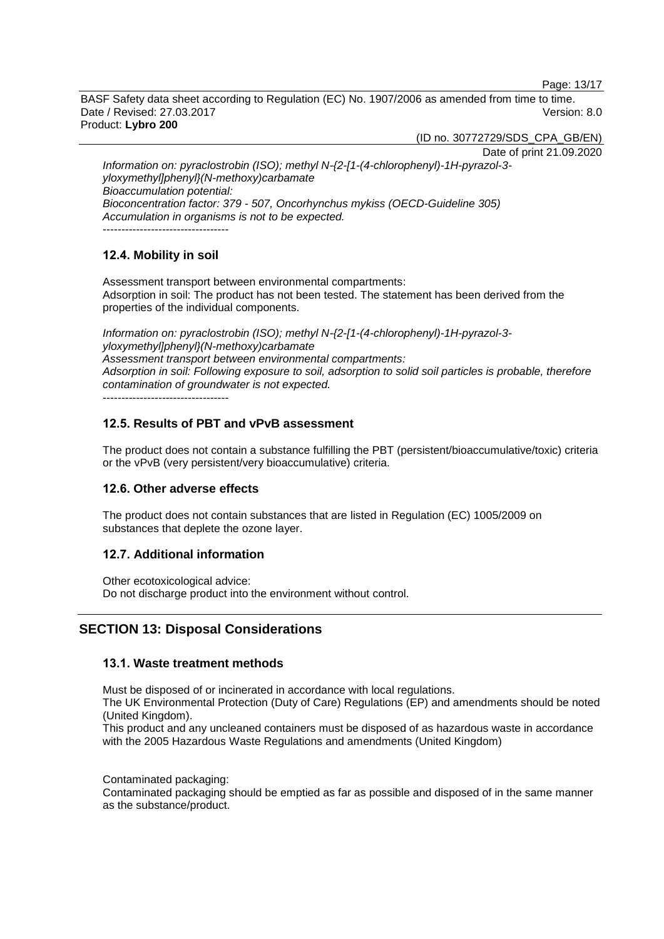Page: 13/17

BASF Safety data sheet according to Regulation (EC) No. 1907/2006 as amended from time to time. Date / Revised: 27.03.2017 Version: 8.0 Product: **Lybro 200**

(ID no. 30772729/SDS\_CPA\_GB/EN)

Date of print 21.09.2020

*Information on: pyraclostrobin (ISO); methyl N-{2-[1-(4-chlorophenyl)-1H-pyrazol-3 yloxymethyl]phenyl}(N-methoxy)carbamate Bioaccumulation potential: Bioconcentration factor: 379 - 507, Oncorhynchus mykiss (OECD-Guideline 305) Accumulation in organisms is not to be expected.* ----------------------------------

# **12.4. Mobility in soil**

Assessment transport between environmental compartments: Adsorption in soil: The product has not been tested. The statement has been derived from the properties of the individual components.

*Information on: pyraclostrobin (ISO); methyl N-{2-[1-(4-chlorophenyl)-1H-pyrazol-3 yloxymethyl]phenyl}(N-methoxy)carbamate Assessment transport between environmental compartments: Adsorption in soil: Following exposure to soil, adsorption to solid soil particles is probable, therefore contamination of groundwater is not expected.*

----------------------------------

# **12.5. Results of PBT and vPvB assessment**

The product does not contain a substance fulfilling the PBT (persistent/bioaccumulative/toxic) criteria or the vPvB (very persistent/very bioaccumulative) criteria.

# **12.6. Other adverse effects**

The product does not contain substances that are listed in Regulation (EC) 1005/2009 on substances that deplete the ozone layer.

# **12.7. Additional information**

Other ecotoxicological advice: Do not discharge product into the environment without control.

# **SECTION 13: Disposal Considerations**

# **13.1. Waste treatment methods**

Must be disposed of or incinerated in accordance with local regulations.

The UK Environmental Protection (Duty of Care) Regulations (EP) and amendments should be noted (United Kingdom).

This product and any uncleaned containers must be disposed of as hazardous waste in accordance with the 2005 Hazardous Waste Regulations and amendments (United Kingdom)

Contaminated packaging:

Contaminated packaging should be emptied as far as possible and disposed of in the same manner as the substance/product.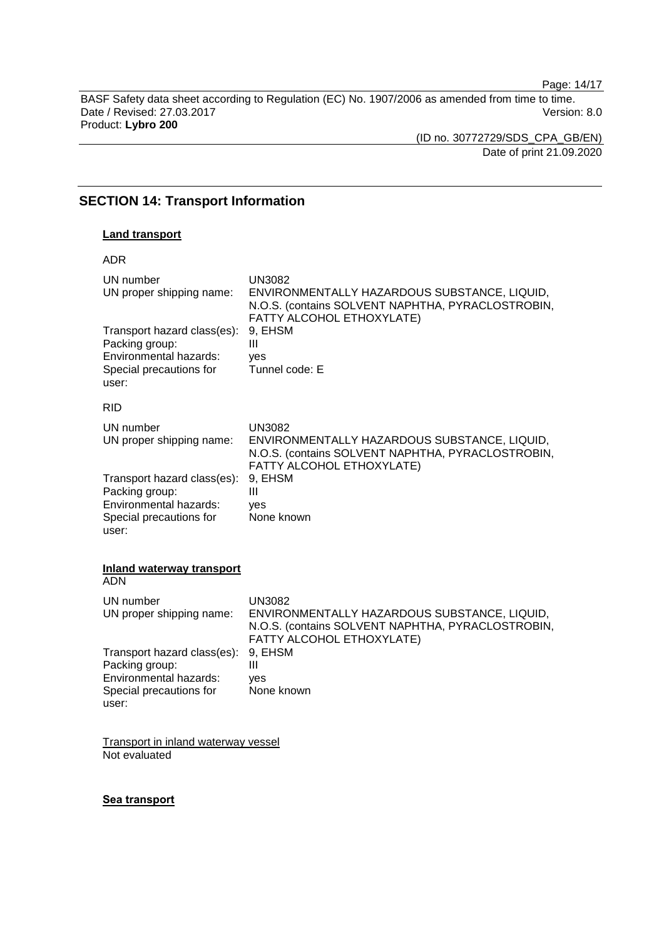Page: 14/17

BASF Safety data sheet according to Regulation (EC) No. 1907/2006 as amended from time to time. Date / Revised: 27.03.2017 **Version: 8.0** Product: **Lybro 200**

(ID no. 30772729/SDS\_CPA\_GB/EN) Date of print 21.09.2020

# **SECTION 14: Transport Information**

## **Land transport**

| <b>ADR</b>                                    |                                                                                                                                                 |
|-----------------------------------------------|-------------------------------------------------------------------------------------------------------------------------------------------------|
| UN number<br>UN proper shipping name:         | <b>UN3082</b><br>ENVIRONMENTALLY HAZARDOUS SUBSTANCE, LIQUID,<br>N.O.S. (contains SOLVENT NAPHTHA, PYRACLOSTROBIN,<br>FATTY ALCOHOL ETHOXYLATE) |
| Transport hazard class(es):<br>Packing group: | 9. EHSM<br>Ш                                                                                                                                    |
| Environmental hazards:                        | yes                                                                                                                                             |
| Special precautions for<br>user:              | Tunnel code: E                                                                                                                                  |
| <b>RID</b>                                    |                                                                                                                                                 |
| UN number<br>UN proper shipping name:         | <b>UN3082</b><br>ENVIRONMENTALLY HAZARDOUS SUBSTANCE, LIQUID,<br>N.O.S. (contains SOLVENT NAPHTHA, PYRACLOSTROBIN,<br>FATTY ALCOHOL ETHOXYLATE) |
| Transport hazard class(es):<br>Packing group: | 9, EHSM<br>Ш                                                                                                                                    |
| Environmental hazards:                        | yes                                                                                                                                             |
| Special precautions for<br>user:              | None known                                                                                                                                      |

#### **Inland waterway transport** ADN

| UN number<br>UN proper shipping name:                                                                       | UN3082<br>ENVIRONMENTALLY HAZARDOUS SUBSTANCE, LIQUID,<br>N.O.S. (contains SOLVENT NAPHTHA, PYRACLOSTROBIN,<br>FATTY ALCOHOL ETHOXYLATE) |
|-------------------------------------------------------------------------------------------------------------|------------------------------------------------------------------------------------------------------------------------------------------|
| Transport hazard class(es):<br>Packing group:<br>Environmental hazards:<br>Special precautions for<br>user: | 9. EHSM<br>Ш<br>ves<br>None known                                                                                                        |

Transport in inland waterway vessel Not evaluated

## **Sea transport**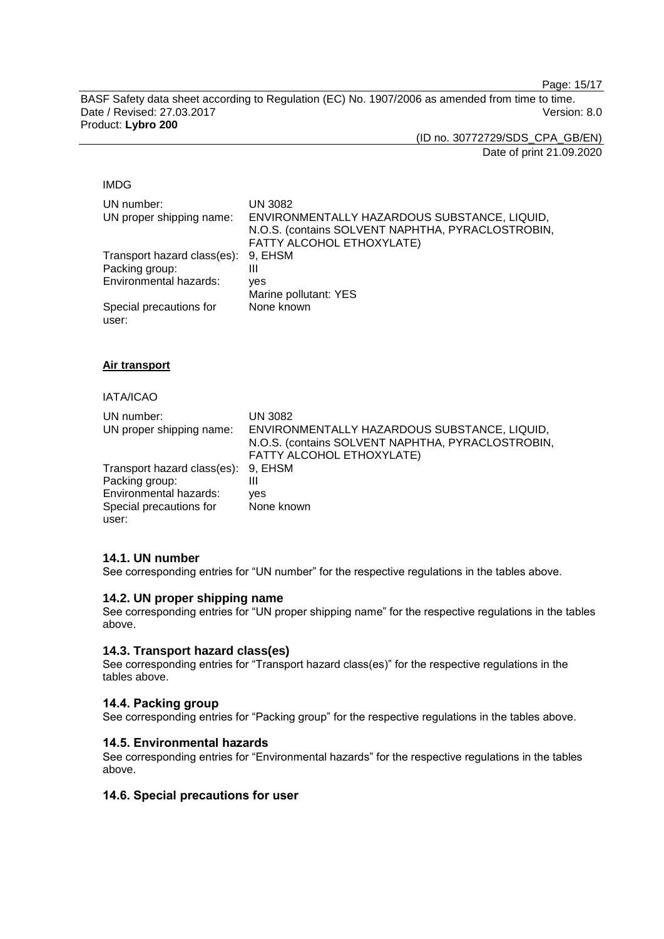Page: 15/17

BASF Safety data sheet according to Regulation (EC) No. 1907/2006 as amended from time to time. Date / Revised: 27.03.2017 Version: 8.0 Product: **Lybro 200**

(ID no. 30772729/SDS\_CPA\_GB/EN)

Date of print 21.09.2020

#### IMDG

| UN number:<br>UN proper shipping name: | <b>UN 3082</b><br>ENVIRONMENTALLY HAZARDOUS SUBSTANCE, LIQUID,<br>N.O.S. (contains SOLVENT NAPHTHA, PYRACLOSTROBIN,<br>FATTY ALCOHOL ETHOXYLATE) |
|----------------------------------------|--------------------------------------------------------------------------------------------------------------------------------------------------|
| Transport hazard class(es):            | 9. EHSM                                                                                                                                          |
| Packing group:                         | Ш                                                                                                                                                |
| Environmental hazards:                 | ves                                                                                                                                              |
|                                        | Marine pollutant: YES                                                                                                                            |
| Special precautions for<br>user:       | None known                                                                                                                                       |

**Air transport**

# IATA/ICAO

| UN number:<br>UN proper shipping name: | <b>UN 3082</b><br>ENVIRONMENTALLY HAZARDOUS SUBSTANCE, LIQUID,<br>N.O.S. (contains SOLVENT NAPHTHA, PYRACLOSTROBIN,<br>FATTY ALCOHOL ETHOXYLATE) |
|----------------------------------------|--------------------------------------------------------------------------------------------------------------------------------------------------|
| Transport hazard class(es): 9, EHSM    |                                                                                                                                                  |
| Packing group:                         | Ш                                                                                                                                                |
| Environmental hazards:                 | ves                                                                                                                                              |
| Special precautions for                | None known                                                                                                                                       |
| user:                                  |                                                                                                                                                  |

# **14.1. UN number**

See corresponding entries for "UN number" for the respective regulations in the tables above.

# **14.2. UN proper shipping name**

See corresponding entries for "UN proper shipping name" for the respective regulations in the tables above.

# **14.3. Transport hazard class(es)**

See corresponding entries for "Transport hazard class(es)" for the respective regulations in the tables above.

# **14.4. Packing group**

See corresponding entries for "Packing group" for the respective regulations in the tables above.

#### **14.5. Environmental hazards**

See corresponding entries for "Environmental hazards" for the respective regulations in the tables above.

# **14.6. Special precautions for user**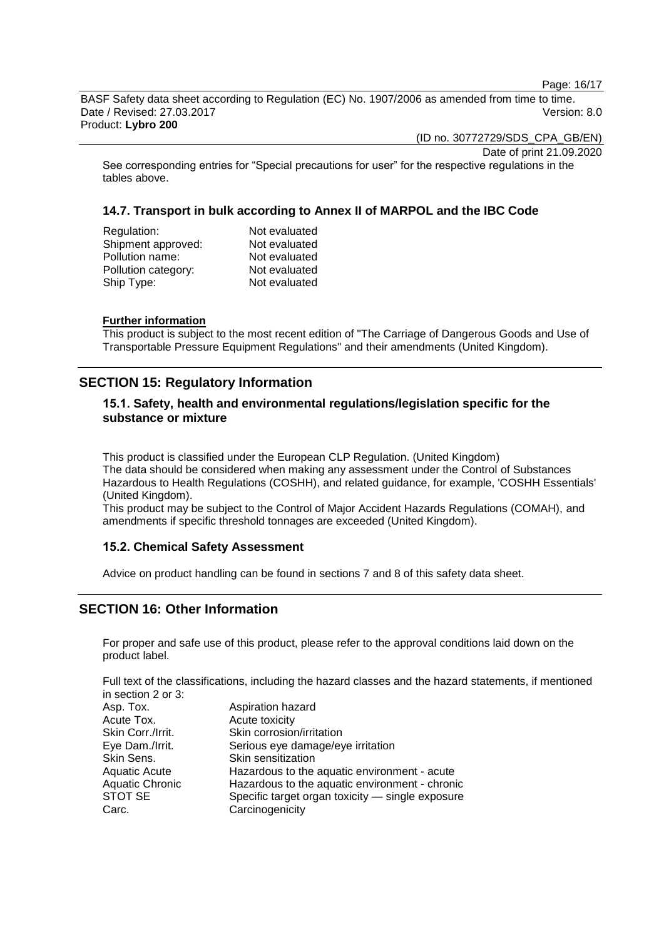Page: 16/17

BASF Safety data sheet according to Regulation (EC) No. 1907/2006 as amended from time to time. Date / Revised: 27.03.2017 Version: 8.0 Product: **Lybro 200**

(ID no. 30772729/SDS\_CPA\_GB/EN)

Date of print 21.09.2020

See corresponding entries for "Special precautions for user" for the respective regulations in the tables above.

# **14.7. Transport in bulk according to Annex II of MARPOL and the IBC Code**

| Regulation:         | Not evaluated |
|---------------------|---------------|
| Shipment approved:  | Not evaluated |
| Pollution name:     | Not evaluated |
| Pollution category: | Not evaluated |
| Ship Type:          | Not evaluated |
|                     |               |

## **Further information**

This product is subject to the most recent edition of "The Carriage of Dangerous Goods and Use of Transportable Pressure Equipment Regulations" and their amendments (United Kingdom).

# **SECTION 15: Regulatory Information**

# **15.1. Safety, health and environmental regulations/legislation specific for the substance or mixture**

This product is classified under the European CLP Regulation. (United Kingdom) The data should be considered when making any assessment under the Control of Substances Hazardous to Health Regulations (COSHH), and related guidance, for example, 'COSHH Essentials' (United Kingdom).

This product may be subject to the Control of Major Accident Hazards Regulations (COMAH), and amendments if specific threshold tonnages are exceeded (United Kingdom).

# **15.2. Chemical Safety Assessment**

Advice on product handling can be found in sections 7 and 8 of this safety data sheet.

# **SECTION 16: Other Information**

For proper and safe use of this product, please refer to the approval conditions laid down on the product label.

Full text of the classifications, including the hazard classes and the hazard statements, if mentioned in section 2 or 3:

| Asp. Tox.              | Aspiration hazard                                |
|------------------------|--------------------------------------------------|
| Acute Tox.             | Acute toxicity                                   |
| Skin Corr./Irrit.      | Skin corrosion/irritation                        |
| Eye Dam./Irrit.        | Serious eye damage/eye irritation                |
| Skin Sens.             | Skin sensitization                               |
| <b>Aquatic Acute</b>   | Hazardous to the aquatic environment - acute     |
| <b>Aquatic Chronic</b> | Hazardous to the aquatic environment - chronic   |
| STOT SE                | Specific target organ toxicity - single exposure |
| Carc.                  | Carcinogenicity                                  |
|                        |                                                  |